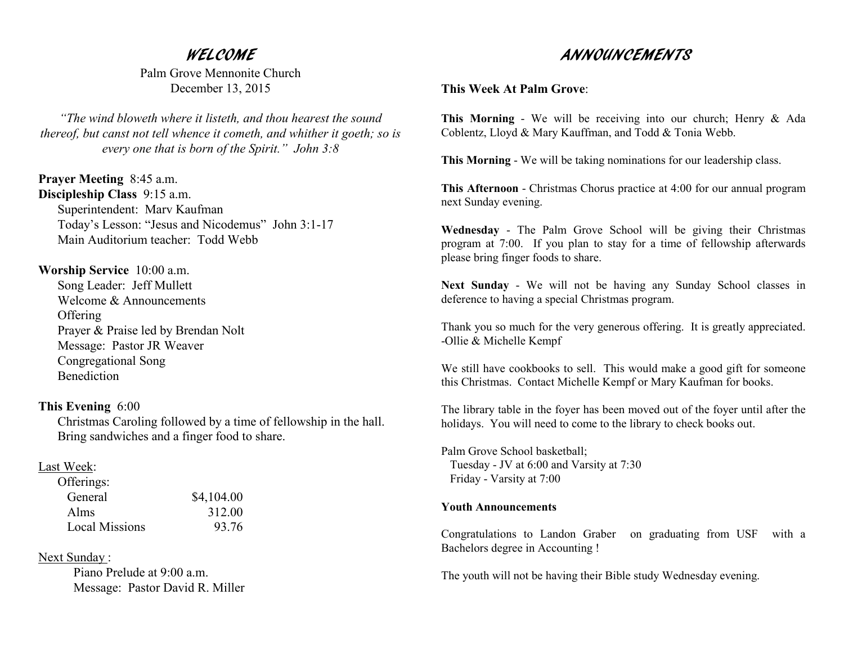## WELCOME

 Palm Grove Mennonite Church December 13, 2015

*"The wind bloweth where it listeth, and thou hearest the sound thereof, but canst not tell whence it cometh, and whither it goeth; so is every one that is born of the Spirit." John 3:8*

**Prayer Meeting** 8:45 a.m. **Discipleship Class** 9:15 a.m. Superintendent: Marv Kaufman Today's Lesson: "Jesus and Nicodemus" John 3:1-17Main Auditorium teacher: Todd Webb

**Worship Service** 10:00 a.m. Song Leader: Jeff Mullett Welcome & Announcements **Offering**  Prayer & Praise led by Brendan Nolt Message: Pastor JR Weaver Congregational Song Benediction

**This Evening** 6:00 Christmas Caroling followed by a time of fellowship in the hall. Bring sandwiches and a finger food to share.

## Last Week:

| Offerings:            |            |
|-----------------------|------------|
| General               | \$4,104.00 |
| Alms                  | 312.00     |
| <b>Local Missions</b> | 93.76      |

Next Sunday :

Piano Prelude at 9:00 a.m. Message: Pastor David R. Miller

## ANNOUNCEMENTS

**This Week At Palm Grove**:

**This Morning** - We will be receiving into our church; Henry & Ada Coblentz, Lloyd & Mary Kauffman, and Todd & Tonia Webb.

**This Morning** - We will be taking nominations for our leadership class.

**This Afternoon** - Christmas Chorus practice at 4:00 for our annual program next Sunday evening.

**Wednesday** - The Palm Grove School will be giving their Christmas program at 7:00. If you plan to stay for a time of fellowship afterwards please bring finger foods to share.

**Next Sunday** - We will not be having any Sunday School classes indeference to having a special Christmas program.

Thank you so much for the very generous offering. It is greatly appreciated. -Ollie & Michelle Kempf

We still have cookbooks to sell. This would make a good gift for someone this Christmas. Contact Michelle Kempf or Mary Kaufman for books.

The library table in the foyer has been moved out of the foyer until after the holidays. You will need to come to the library to check books out.

Palm Grove School basketball; Tuesday - JV at 6:00 and Varsity at 7:30 Friday - Varsity at 7:00

## **Youth Announcements**

Congratulations to Landon Graber on graduating from USF with a Bachelors degree in Accounting !

The youth will not be having their Bible study Wednesday evening.